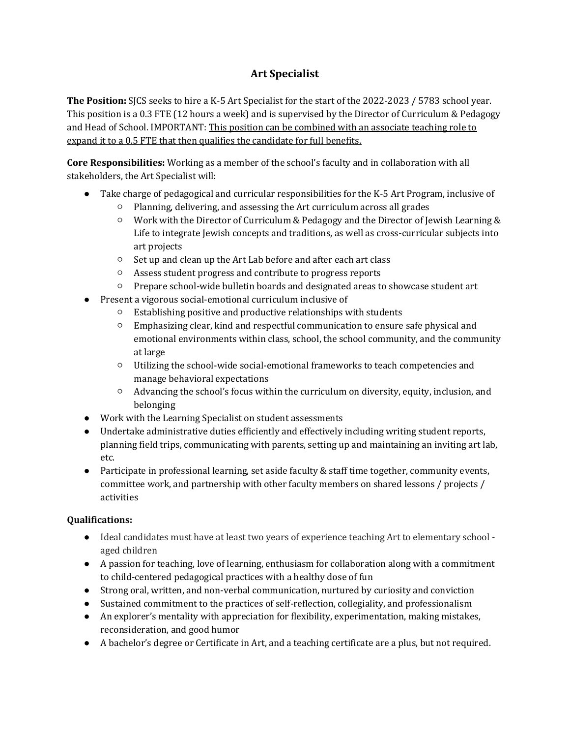## **Art Specialist**

**The Position:** SJCS seeks to hire a K-5 Art Specialist for the start of the 2022-2023 / 5783 school year. This position is a 0.3 FTE (12 hours a week) and is supervised by the Director of Curriculum & Pedagogy and Head of School. IMPORTANT: This position can be combined with an associate teaching role to expand it to a 0.5 FTE that then qualifies the candidate for full benefits.

**Core Responsibilities:** Working as a member of the school's faculty and in collaboration with all stakeholders, the Art Specialist will:

- Take charge of pedagogical and curricular responsibilities for the K-5 Art Program, inclusive of
	- Planning, delivering, and assessing the Art curriculum across all grades
	- Work with the Director of Curriculum & Pedagogy and the Director of Jewish Learning & Life to integrate Jewish concepts and traditions, as well as cross-curricular subjects into art projects
	- Set up and clean up the Art Lab before and after each art class
	- Assess student progress and contribute to progress reports
	- Prepare school-wide bulletin boards and designated areas to showcase student art
- Present a vigorous social-emotional curriculum inclusive of
	- Establishing positive and productive relationships with students
	- Emphasizing clear, kind and respectful communication to ensure safe physical and emotional environments within class, school, the school community, and the community at large
	- Utilizing the school-wide social-emotional frameworks to teach competencies and manage behavioral expectations
	- Advancing the school's focus within the curriculum on diversity, equity, inclusion, and belonging
- Work with the Learning Specialist on student assessments
- Undertake administrative duties efficiently and effectively including writing student reports, planning field trips, communicating with parents, setting up and maintaining an inviting art lab, etc.
- Participate in professional learning, set aside faculty & staff time together, community events, committee work, and partnership with other faculty members on shared lessons / projects / activities

## **Qualifications:**

- Ideal candidates must have at least two years of experience teaching Art to elementary school aged children
- A passion for teaching, love of learning, enthusiasm for collaboration along with a commitment to child-centered pedagogical practices with a healthy dose of fun
- Strong oral, written, and non-verbal communication, nurtured by curiosity and conviction
- Sustained commitment to the practices of self-reflection, collegiality, and professionalism
- An explorer's mentality with appreciation for flexibility, experimentation, making mistakes, reconsideration, and good humor
- A bachelor's degree or Certificate in Art, and a teaching certificate are a plus, but not required.